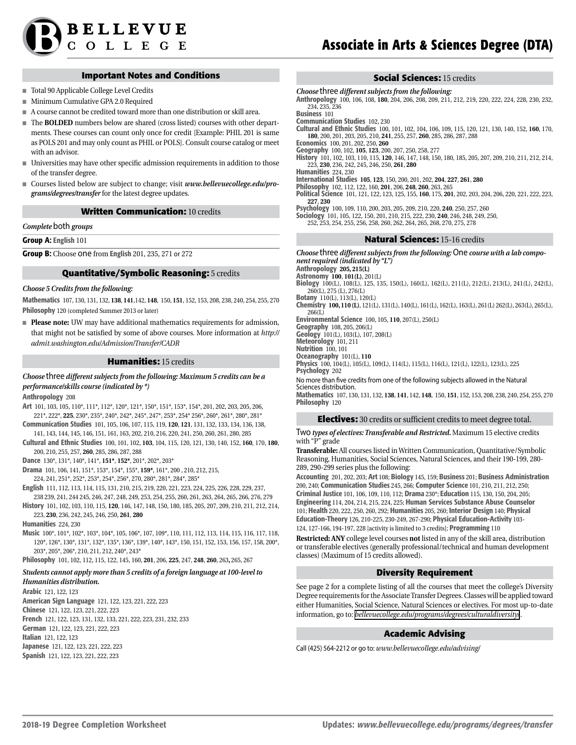

### **Important Notes and Conditions**

- Total 90 Applicable College Level Credits
- Minimum Cumulative GPA 2.0 Required
- A course cannot be credited toward more than one distribution or skill area.
- The **BOLDED** numbers below are shared (cross listed) courses with other departments. These courses can count only once for credit [Example: PHIL 201 is same as POLS 201 and may only count as PHIL or POLS]. Consult course catalog or meet with an advisor
- Universities may have other specific admission requirements in addition to those of the transfer degree.
- Courses listed below are subject to change; visit *[www.bellevuecollege.edu/pro](http://www.bellevuecollege.edu/programs/degrees/transfer)[grams/degrees/transfer](http://www.bellevuecollege.edu/programs/degrees/transfer)* for the latest degree updates.

#### **Written Communication:** 10 credits

*Complete* both *groups*

Group A: English 101

Group B: Choose one from English 201, 235, 271 or 272

## **Quantitative/Symbolic Reasoning:** 5 credits

#### *Choose 5 Credits from the following:*

Mathematics 107, 130, 131, 132, **138**, **141**,142, **148**, 150, **151**, 152, 153, 208, 238, 240, 254, 255, 270 Philosophy 120 (completed Summer 2013 or later)

■ **Please note:** UW may have additional mathematics requirements for admission, that might not be satisfied by some of above courses. More information at *http:// admit.washington.edu/Admission/Transfer/CADR*

#### **Humanities:** 15 credits

*Choose* three *different subjects from the following: Maximum 5 credits can be a performance/skills course (indicated by \*)*

Anthropology 208

- Art 101, 103, 105, 110\*, 111\*, 112\*, 120\*, 121\*, 150\*, 151\*, 153\*, 154\*, 201, 202, 203, 205, 206, 221\*, 222\*, **225**, 230\*, 235\*, 240\*, 242\*, 245\*, 247\*, 253\*, 254\* 256\*, 260\*, 261\*, 280\*, 281\*
- Communication Studies 101, 105, 106, 107, 115, 119, **120**, **121**, 131, 132, 133, 134, 136, 138, 141, 143, 144, 145, 146, 151, 161, 163, 202, 210, 216, 220, 241, 250, 260, 261, 280, 285
- Cultural and Ethnic Studies 100, 101, 102, **103**, 104, 115, 120, 121, 130, 140, 152, **160**, 170, **180**, 200, 210, 255, 257, **260**, 285, 286, 287, 288

Dance 130\*, 131\*, 140\*, 141\*, **151\***, **152\***, 201\*, 202\*, 203\*

Drama 101, 106, 141, 151\*, 153\*, 154\*, 155\*, **159\***, 161\*, 200 , 210, 212, 215, 224, 241, 251\*, 252\*, 253\*, 254\*, 256\*, 270, 280\*, 281\*, 284\*, 285\*

English 111, 112, 113, 114, 115, 131, 210, 215, 219, 220, 221, 223, 224, 225, 226, 228, 229, 237,

- 238 239, 241, 244 245, 246, 247, 248, 249, 253, 254, 255, 260, 261, 263, 264, 265, 266, 276, 279
- History 101, 102, 103, 110, 115, **120**, 146, 147, 148, 150, 180, 185, 205, 207, 209, 210, 211, 212, 214, 223, **230**, 236, 242, 245, 246, 250, **261**, **280**

Humanities 224, 230

Music 100\*, 101\*, 102\*, 103\*, 104\*, 105, 106\*, 107, 109\*, 110, 111, 112, 113, 114, 115, 116, 117, 118, 120\*, 126\*, 130\*, 131\*, 132\*, 135\*, 136\*, 139\*, 140\*, 143\*, 150, 151, 152, 153, 156, 157, 158, 200\*, 203\*, 205\*, 206\*, 210, 211, 212, 240\*, 243\*

Philosophy 101, 102, 112, 115, 122, 145, 160, **201**, 206, **225**, 247, **248**, **260**, 263**,** 265, 267

#### *Students cannot apply more than 5 credits of a foreign language at 100-level to Humanities distribution.*

Arabic 121, 122, 123 American Sign Language 121, 122, 123, 221, 222, 223 Chinese 121, 122, 123, 221, 222, 223 French 121, 122, 123, 131, 132, 133, 221, 222, 223, 231, 232, 233 German 121, 122, 123, 221, 222, 223 Italian 121, 122, 123 Japanese 121, 122, 123, 221, 222, 223 Spanish 121, 122, 123, 221, 222, 223

## **Social Sciences:** 15 credits

*Choose* three *different subjects from the following:* Anthropology 100, 106, 108, **180**, 204, 206, 208, 209, 211, 212, 219, 220, 222, 224, 228, 230, 232, 234, 235, 236

Business 101

Communication Studies 102, 230

Cultural and Ethnic Studies 100, 101, 102, 104, 106, 109, 115, 120, 121, 130, 140, 152, **160**, 170, **180**, 200, 201, 203, 205, 210, **241**, 255, 257, **260**, 285, 286, 287, 288

Economics 100, 201, 202, 250, **260** Geography 100, 102, **105**, **123**, 200, 207, 250, 258, 277

History 101, 102, 103, 110, 115, **120**, 146, 147, 148, 150, 180, 185, 205, 207, 209, 210, 211, 212, 214, 223, **230**, 236, 242, 245, 246, 250, **261**, **280**

Humanities 224, 230

International Studies **105**, **123**, 150, 200, 201, 202, **204**, **227**, **261**, **280**

Philosophy 102, 112, 122, 160, **201**, 206, **248**, **260**, 263, 265

Political Science 101, 121, 122, 123, 125, 155, **160**, 175, **201**, 202, 203, 204, 206, 220, 221, 222, 223, **227**, **230**

Psychology 100, 109, 110, 200, 203, 205, 209, 210, 220, **240**, 250, 257, 260

Sociology 101, 105, 122, 150, 201, 210, 215, 222, 230, **240**, 246, 248, 249, 250, 252, 253, 254, 255, 256, 258, 260, 262, 264, 265, 268, 270, 275, 278

#### **Natural Sciences:** 15-16 credits

*Choose* three *different subjects from the following:* One *course with a lab component required (indicated by "L")* Anthropology **205, 215(L)** Astronomy **100**, **101(L)**, 201(L) Biology 100(L), 108(L), 125, 135, 150(L), 160(L), 162(L), 211(L), 212(L), 213(L), 241(L), 242(L), 260(L), 275 (L), 276(L) Botany 110(L), 113(L), 120(L) Chemistry **100, 110 (L)**, 121(L), 131(L), 140(L), 161(L), 162(L), 163(L), 261(L) 262(L), 263(L), 265(L), 266(L) Environmental Science 100, 105, **110**, 207(L), 250(L) Geography 108, 205, 206(L) Geology 101(L), 103(L), 107, 208(L) Meteorology 101, 211 Nutrition 100, 101 Oceanography 101(L), **110** Physics 100, 104(L), 105(L), 109(L), 114(L), 115(L), 116(L), 121(L), 122(L), 123(L), 225 Psychology 202 No more than five credits from one of the following subjects allowed in the Natural Sciences distribution.

Mathematics 107, 130, 131, 132, **138**, **141**, 142, **148**, 150, **151**, 152, 153, 208, 238, 240, 254, 255, 270 Philosophy 120

## **Electives:** 30 credits or sufficient credits to meet degree total.

Two *types of electives: Transferable and Restricted.* Maximum 15 elective credits with "P" grade

**Transferable:** All courses listed in Written Communication, Quantitative/Symbolic Reasoning, Humanities, Social Sciences, Natural Sciences, and their 190-199, 280- 289, 290-299 series plus the following:

Accounting 201, 202, 203; Art 108; Biology 145, 159; Business 201; Business Administration 200, 240; Communication Studies 245, 266; Computer Science 101, 210, 211, 212, 250; Criminal Justice 101, 106, 109, 110, 112; Drama 230\*; Education 115, 130, 150, 204, 205; Engineering 114, 204, 214, 215, 224, 225; Human Services Substance Abuse Counselor 101; Health 220, 222, 250, 260, 292; Humanities 205, 260; Interior Design 140; Physical Education-Theory 126, 210-225, 230-249, 267-290; Physical Education-Activity 103- 124, 127-166, 194-197, 228 [activity is limited to 3 credits]; Programming 110

**Restricted: ANY** college level courses **not** listed in any of the skill area, distribution or transferable electives (generally professional/technical and human development classes) (Maximum of 15 credits allowed).

# **Diversity Requirement**

See page 2 for a complete listing of all the courses that meet the college's Diversity Degree requirements for the Associate Transfer Degrees. Classes will be applied toward either Humanities, Social Science, Natural Sciences or electives. For most up-to-date information, go to: *[bellevuecollege.edu/programs/degrees/culturaldiversity/](http://www.bellevuecollege.edu/catalog/degrees/gened/)* .

## **Academic Advising**

Call (425) 564-2212 or go to: *www.bellevuecollege.edu/advising/*